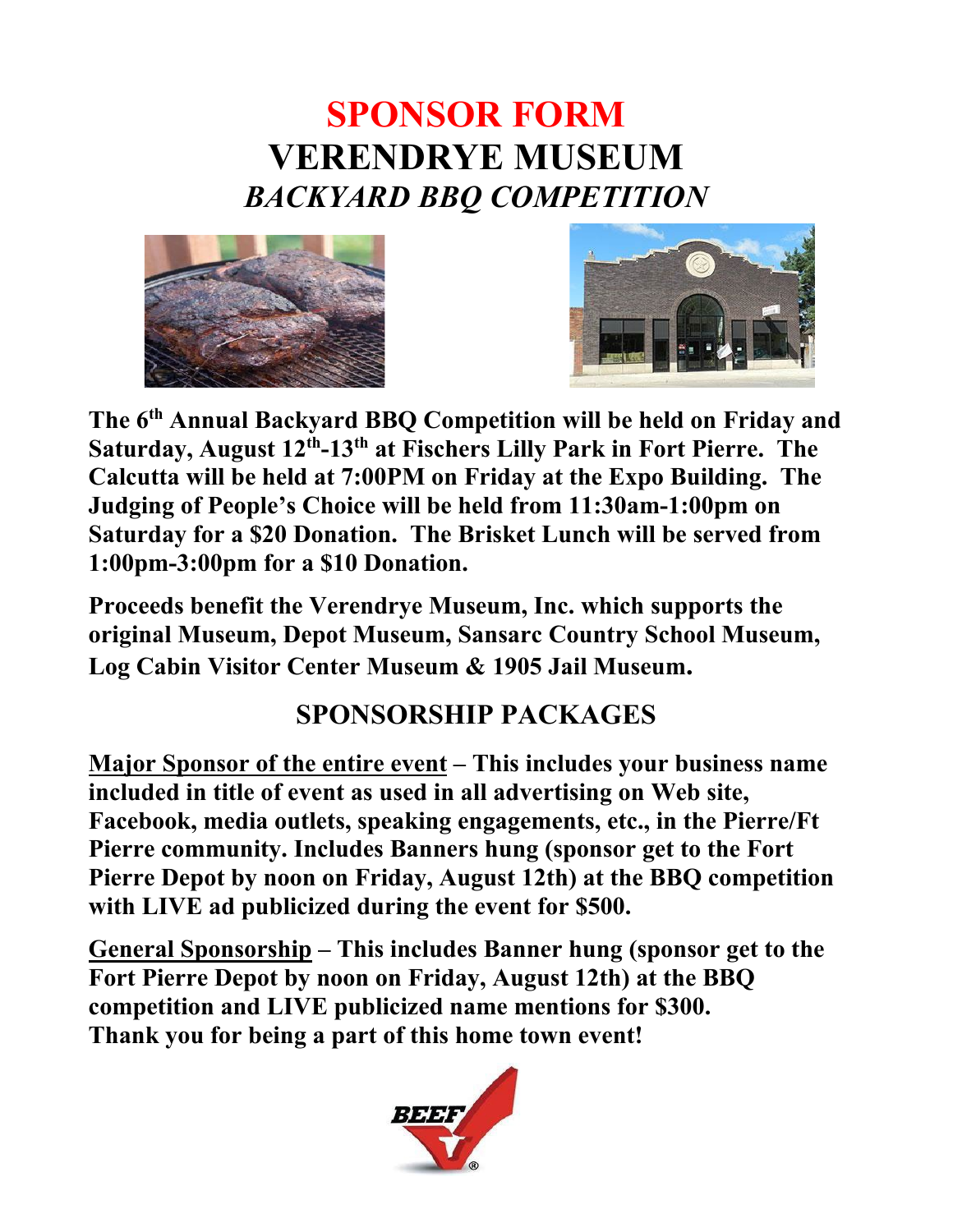## **SPONSOR FORM VERENDRYE MUSEUM** *BACKYARD BBQ COMPETITION*





**The 6th Annual Backyard BBQ Competition will be held on Friday and Saturday, August 12th-13th at Fischers Lilly Park in Fort Pierre. The Calcutta will be held at 7:00PM on Friday at the Expo Building. The Judging of People's Choice will be held from 11:30am-1:00pm on Saturday for a \$20 Donation. The Brisket Lunch will be served from 1:00pm-3:00pm for a \$10 Donation.** 

**Proceeds benefit the Verendrye Museum, Inc. which supports the original Museum, Depot Museum, Sansarc Country School Museum, Log Cabin Visitor Center Museum & 1905 Jail Museum.**

## **SPONSORSHIP PACKAGES**

**Major Sponsor of the entire event – This includes your business name included in title of event as used in all advertising on Web site, Facebook, media outlets, speaking engagements, etc., in the Pierre/Ft Pierre community. Includes Banners hung (sponsor get to the Fort Pierre Depot by noon on Friday, August 12th) at the BBQ competition with LIVE ad publicized during the event for \$500.**

**General Sponsorship – This includes Banner hung (sponsor get to the Fort Pierre Depot by noon on Friday, August 12th) at the BBQ competition and LIVE publicized name mentions for \$300. Thank you for being a part of this home town event!**